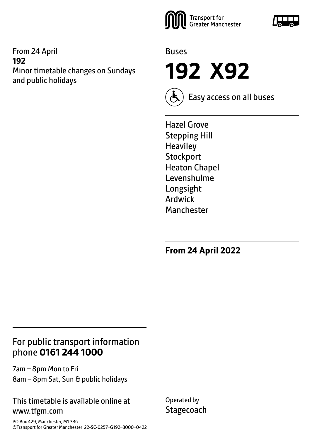#### From 24 April **192** Minor timetable changes on Sundays and public holidays





**192 X92**



Easy access on all buses

Hazel Grove Stepping Hill **Heaviley Stockport** Heaton Chapel Levenshulme Longsight Ardwick **Manchester** 

**From 24 April 2022**

# For public transport information phone **0161 244 1000**

7am – 8pm Mon to Fri

8am – 8pm Sat, Sun & public holidays

#### This timetable is available online at www.tfgm.com

PO Box 429, Manchester, M1 3BG ©Transport for Greater Manchester 22-SC-0257–G192–3000–0422 Operated by **Stagecoach** 

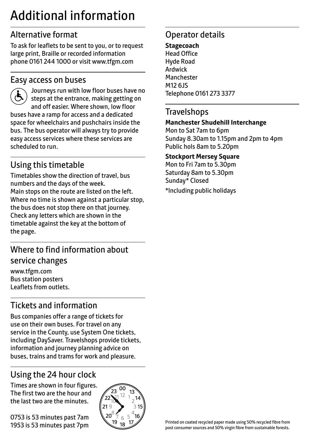# Additional information

# Alternative format

To ask for leaflets to be sent to you, or to request large print, Braille or recorded information phone 0161 244 1000 or visit www.tfgm.com

#### Easy access on buses



 Journeys run with low floor buses have no steps at the entrance, making getting on and off easier. Where shown, low floor buses have a ramp for access and a dedicated space for wheelchairs and pushchairs inside the bus. The bus operator will always try to provide easy access services where these services are scheduled to run.

# Using this timetable

Timetables show the direction of travel, bus numbers and the days of the week. Main stops on the route are listed on the left. Where no time is shown against a particular stop, the bus does not stop there on that journey. Check any letters which are shown in the timetable against the key at the bottom of the page.

# Where to find information about service changes

www.tfgm.com Bus station posters Leaflets from outlets.

# Tickets and information

Bus companies offer a range of tickets for use on their own buses. For travel on any service in the County, use System One tickets, including DaySaver. Travelshops provide tickets, information and journey planning advice on buses, trains and trams for work and pleasure.

# Using the 24 hour clock

Times are shown in four figures. The first two are the hour and the last two are the minutes.

0753 is 53 minutes past 7am 1953 is 53 minutes past 7pm



# Operator details

**Stagecoach** Head Office Hyde Road Ardwick **Manchester** M12 6JS Telephone 0161 273 3377

#### **Travelshops**

#### **Manchester Shudehill Interchange**

Mon to Sat 7am to 6pm Sunday 8.30am to 1.15pm and 2pm to 4pm Public hols 8am to 5.20pm

#### **Stockport Mersey Square**

Mon to Fri 7am to 5.30pm Saturday 8am to 5.30pm Sunday\* Closed \*Including public holidays

Printed on coated recycled paper made using 50% recycled fibre from post consumer sources and 50% virgin fibre from sustainable forests.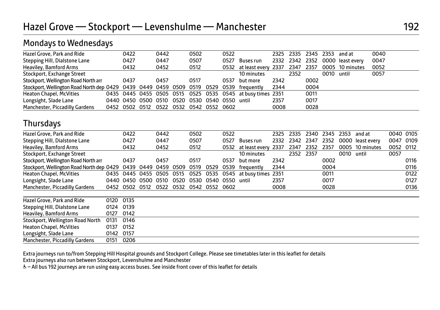### Mondays to Wednesdays

| Hazel Grove, Park and Ride                                                              | 0422 |                                               | 0442 | 0502 | 0522 |                                                            |      |      | 2325 2335 2345 2353 |            | and at                          | 0040 |
|-----------------------------------------------------------------------------------------|------|-----------------------------------------------|------|------|------|------------------------------------------------------------|------|------|---------------------|------------|---------------------------------|------|
| Stepping Hill, Dialstone Lane                                                           | 0427 |                                               | 0447 | 0507 | 0527 | Buses run                                                  |      |      |                     |            | 2332 2342 2352 0000 least every | 0047 |
| Heaviley, Bamford Arms                                                                  | 0432 |                                               | 0452 | 0512 |      | 0532 at least every 2337 2347 2357                         |      |      |                     |            | 0005 10 minutes                 | 0052 |
| Stockport, Exchange Street                                                              |      |                                               |      |      |      | 10 minutes                                                 |      | 2352 |                     | 0010 until |                                 | 0057 |
| Stockport, Wellington Road North arr                                                    | 0437 |                                               | 0457 | 0517 | 0537 | but more                                                   | 2342 |      | 0002                |            |                                 |      |
| Stockport, Wellington Road North dep 0429 0439 0449 0459 0509 0519 0529 0539 frequently |      |                                               |      |      |      |                                                            | 2344 |      | 0004                |            |                                 |      |
| <b>Heaton Chapel, McVities</b>                                                          |      |                                               |      |      |      | 0435 0445 0455 0505 0515 0525 0535 0545 at busy times 2351 |      |      | 0011                |            |                                 |      |
| Longsight, Slade Lane                                                                   |      | 0440 0450 0500 0510 0520 0530 0540 0550 until |      |      |      |                                                            | 2357 |      | 0017                |            |                                 |      |
| Manchester, Piccadilly Gardens                                                          |      | 0452 0502 0512 0522 0532 0542 0552 0602       |      |      |      |                                                            | 0008 |      | 0028                |            |                                 |      |
|                                                                                         |      |                                               |      |      |      |                                                            |      |      |                     |            |                                 |      |

#### **Thursdays**

| Hazel Grove, Park and Ride                |      | 0422           |      | 0442 |      | 0502 |      | 0522 |                     | 2325 | 2335 | 2340 | 2345 | 2353 | and at           | 0040 0105 |      |
|-------------------------------------------|------|----------------|------|------|------|------|------|------|---------------------|------|------|------|------|------|------------------|-----------|------|
| Stepping Hill, Dialstone Lane             |      | 0427           |      | 0447 |      | 0507 |      | 0527 | Buses run           | 2332 | 2342 | 2347 | 2352 |      | 0000 least every | 0047      | 0109 |
| Heaviley, Bamford Arms                    |      | 0432           |      | 0452 |      | 0512 |      | 0532 | at least every 2337 |      | 2347 | 2352 | 2357 |      | 0005 10 minutes  | 0052 0112 |      |
| Stockport, Exchange Street                |      |                |      |      |      |      |      |      | 10 minutes          |      | 2352 | 2357 |      | 0010 | until            | 0057      |      |
| Stockport, Wellington Road North arr      |      | 0437           |      | 0457 |      | 0517 |      | 0537 | but more            | 2342 |      |      | 0002 |      |                  |           | 0116 |
| Stockport, Wellington Road North dep 0429 |      | 0439           | 0449 | 0459 | 0509 | 0519 | 0529 | 0539 | frequently          | 2344 |      |      | 0004 |      |                  |           | 0116 |
| <b>Heaton Chapel, McVities</b>            | 0435 | 0445 0455 0505 |      |      | 0515 | 0525 | 0535 | 0545 | at busy times 2351  |      |      |      | 0011 |      |                  |           | 0122 |
| Longsight, Slade Lane                     |      | 0440 0450      | 0500 | 0510 | 0520 | 0530 | 0540 | 0550 | until               | 2357 |      |      | 0017 |      |                  |           | 0127 |
| <b>Manchester, Piccadilly Gardens</b>     | 0452 | 0502 0512      |      | 0522 | 0532 | 0542 | 0552 | 0602 |                     | 0008 |      |      | 0028 |      |                  |           | 0136 |
| Hazel Grove, Park and Ride                | 0120 | 0135           |      |      |      |      |      |      |                     |      |      |      |      |      |                  |           |      |
| Stepping Hill, Dialstone Lane             | 0124 | 0139           |      |      |      |      |      |      |                     |      |      |      |      |      |                  |           |      |
| Heaviley, Bamford Arms                    | 0127 | 0142           |      |      |      |      |      |      |                     |      |      |      |      |      |                  |           |      |
| Stockport, Wellington Road North          | 0131 | 0146           |      |      |      |      |      |      |                     |      |      |      |      |      |                  |           |      |
| <b>Heaton Chapel, McVities</b>            | 0137 | 0152           |      |      |      |      |      |      |                     |      |      |      |      |      |                  |           |      |
| Longsight, Slade Lane                     | 0142 | 0157           |      |      |      |      |      |      |                     |      |      |      |      |      |                  |           |      |
| Manchester, Piccadilly Gardens            | 0151 | 0206           |      |      |      |      |      |      |                     |      |      |      |      |      |                  |           |      |

Extra journeys run to/from Stepping Hill Hospital grounds and Stockport College. Please see timetables later in this leaflet for details Extra journeys also run between Stockport, Levenshulme and Manchester

& - All bus 192 journeys are run using easy access buses. See inside front cover of this leaflet for details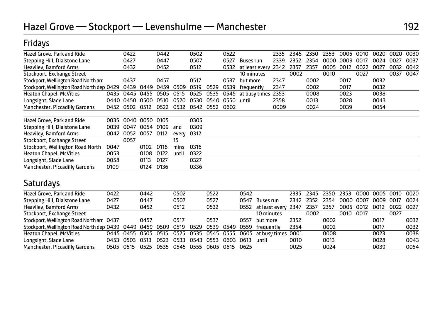# Fridays

| Hazel Grove, Park and Ride                |      | 0422 |           | 0442 |       | 0502 |      | 0522 |                    |                  | 2335 | 2345 | 2350 | 2353 | 0005 | 0010 | 0020 | 0020 | 0030 |
|-------------------------------------------|------|------|-----------|------|-------|------|------|------|--------------------|------------------|------|------|------|------|------|------|------|------|------|
| Stepping Hill, Dialstone Lane             |      | 0427 |           | 0447 |       | 0507 |      | 0527 | Buses run          |                  | 2339 | 2352 | 2354 | 0000 | 0009 | 0017 | 0024 | 0027 | 0037 |
| Heaviley, Bamford Arms                    |      | 0432 |           | 0452 |       | 0512 |      | 0532 | at least every     |                  | 2342 | 2357 | 2357 | 0005 | 0012 | 0022 | 0027 | 0032 | 0042 |
| Stockport, Exchange Street                |      |      |           |      |       |      |      |      | 10 minutes         |                  |      | 0002 |      | 0010 |      | 0027 |      | 0037 | 0047 |
| Stockport, Wellington Road North arr      |      | 0437 |           | 0457 |       | 0517 |      | 0537 | but more           |                  | 2347 |      | 0002 |      | 0017 |      | 0032 |      |      |
| Stockport, Wellington Road North dep 0429 |      | 0439 | 0449      | 0459 | 0509  | 0519 | 0529 | 0539 | frequently         |                  | 2347 |      | 0002 |      | 0017 |      | 0032 |      |      |
| <b>Heaton Chapel, McVities</b>            | 0435 | 0445 | 0455      | 0505 | 0515  | 0525 | 0535 | 0545 | at busy times 2353 |                  |      |      | 0008 |      | 0023 |      | 0038 |      |      |
| Longsight, Slade Lane                     | 0440 | 0450 | 0500      | 0510 | 0520  | 0530 | 0540 | 0550 | until              |                  | 2358 |      | 0013 |      | 0028 |      | 0043 |      |      |
| <b>Manchester, Piccadilly Gardens</b>     | 0452 | 0502 | 0512      | 0522 | 0532  | 0542 | 0552 | 0602 |                    |                  | 0009 |      | 0024 |      | 0039 |      | 0054 |      |      |
|                                           |      |      |           |      |       |      |      |      |                    |                  |      |      |      |      |      |      |      |      |      |
| Hazel Grove, Park and Ride                | 0035 | 0040 | 0050      | 0105 |       | 0305 |      |      |                    |                  |      |      |      |      |      |      |      |      |      |
| Stepping Hill, Dialstone Lane             | 0039 | 0047 | 0054 0109 |      | and   | 0309 |      |      |                    |                  |      |      |      |      |      |      |      |      |      |
| Heaviley, Bamford Arms                    | 0042 | 0052 | 0057      | 0112 | every | 0312 |      |      |                    |                  |      |      |      |      |      |      |      |      |      |
| Stockport, Exchange Street                |      | 0057 |           |      | 15    |      |      |      |                    |                  |      |      |      |      |      |      |      |      |      |
| Stockport, Wellington Road North          | 0047 |      | 0102      | 0116 | mins  | 0316 |      |      |                    |                  |      |      |      |      |      |      |      |      |      |
| <b>Heaton Chapel, McVities</b>            | 0053 |      | 0108      | 0122 | until | 0322 |      |      |                    |                  |      |      |      |      |      |      |      |      |      |
| Longsight, Slade Lane                     | 0058 |      | 0113      | 0127 |       | 0327 |      |      |                    |                  |      |      |      |      |      |      |      |      |      |
| <b>Manchester, Piccadilly Gardens</b>     | 0109 |      | 0124      | 0136 |       | 0336 |      |      |                    |                  |      |      |      |      |      |      |      |      |      |
| Saturdays                                 |      |      |           |      |       |      |      |      |                    |                  |      |      |      |      |      |      |      |      |      |
| Hazel Grove, Park and Ride                | 0422 |      | 0442      |      | 0502  |      | 0522 |      | 0542               |                  |      | 2335 | 2345 | 2350 | 2353 | 0000 | 0005 | 0010 | 0020 |
| Stepping Hill, Dialstone Lane             | 0427 |      | 0447      |      | 0507  |      | 0527 |      | 0547               | <b>Buses run</b> |      | 2342 | 2352 | 2354 | 0000 | 0007 | 0009 | 0017 | 0024 |
| Heaviley, Bamford Arms                    | 0432 |      | 0452      |      | 0512  |      | 0532 |      | 0552               | at least every   |      | 2347 | 2357 | 2357 | 0005 | 0012 | 0012 | 0022 | 0027 |
| Stockport, Exchange Street                |      |      |           |      |       |      |      |      |                    | 10 minutes       |      |      | 0002 |      | 0010 | 0017 |      | 0027 |      |
| Stockport, Wellington Road North arr 0437 |      |      | 0457      |      | 0517  |      | 0537 |      | 0557               | but more         |      | 2352 |      | 0002 |      |      | 0017 |      | 0032 |
| Stockport, Wellington Road North dep 0439 |      | 0449 | 0459      | 0509 | 0519  | 0529 | 0539 | 0549 | 0559               | frequently       |      | 2354 |      | 0002 |      |      | 0017 |      | 0032 |
| <b>Heaton Chapel, McVities</b>            | 0445 | 0455 | 0505      | 0515 | 0525  | 0535 | 0545 | 0555 | 0605               | at busy times    |      | 0001 |      | 0008 |      |      | 0023 |      | 0038 |
| Longsight, Slade Lane                     | 0453 | 0503 | 0513      | 0523 | 0533  | 0543 | 0553 | 0603 | 0613               | until            |      | 0010 |      | 0013 |      |      | 0028 |      | 0043 |
| Manchester, Piccadilly Gardens            | 0505 | 0515 | 0525      | 0535 | 0545  | 0555 | 0605 | 0615 | 0625               |                  |      | 0025 |      | 0024 |      |      | 0039 |      | 0054 |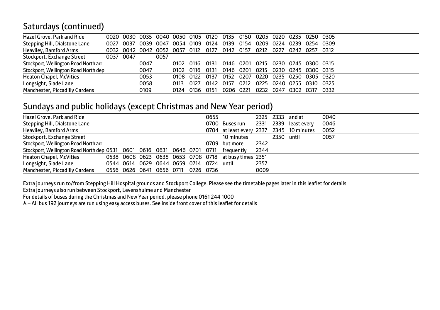# Saturdays (continued)

| Hazel Grove, Park and Ride           |           |                     | 0020 0030 0035 0040 0050 0105 0120 0135 0150 0205 0220 0235 0250 0305 |           |           |           |           |      |                                    |                |      |      |  |
|--------------------------------------|-----------|---------------------|-----------------------------------------------------------------------|-----------|-----------|-----------|-----------|------|------------------------------------|----------------|------|------|--|
| Stepping Hill, Dialstone Lane        |           | 0027 0037 0039 0047 |                                                                       | 0054 0109 |           | 0124      |           |      | 0139 0154 0209 0224                | 0239 0254 0309 |      |      |  |
| Heaviley, Bamford Arms               |           |                     | 0032 0042 0042 0052 0057 0112                                         |           |           | 0127      | 0142 0157 |      | 0212 0227                          | 0242 0257      |      | 0312 |  |
| Stockport, Exchange Street           | 0037 0047 |                     | 0057                                                                  |           |           |           |           |      |                                    |                |      |      |  |
| Stockport, Wellington Road North arr |           | 0047                |                                                                       |           | 0102 0116 | 0131      |           |      | 0146 0201 0215 0230 0245 0300 0315 |                |      |      |  |
| Stockport, Wellington Road North dep |           | 0047                |                                                                       | 0102 0116 |           | 0131      |           |      | 0146 0201 0215 0230 0245 0300 0315 |                |      |      |  |
| <b>Heaton Chapel, McVities</b>       |           | 0053                |                                                                       |           | 0108 0122 | 0137      |           |      | 0152 0207 0220 0235 0250 0305 0320 |                |      |      |  |
| Longsight, Slade Lane                |           | 0058                |                                                                       | 0113      | 0127      | 0142 0157 |           | 0212 | 0225 0240 0255 0310                |                |      | 0325 |  |
| Manchester, Piccadilly Gardens       |           | 0109                |                                                                       | 0124      | 0136      | 0151      | 0206 0221 |      | 0232 0247                          | 0302           | 0317 | 0332 |  |
|                                      |           |                     |                                                                       |           |           |           |           |      |                                    |                |      |      |  |

#### Sundays and public holidays (except Christmas and New Year period)

| Hazel Grove, Park and Ride                                              |                                    |  |  | 0655 |                                                       |      |            | 2325 2333 and at      | 0040 |
|-------------------------------------------------------------------------|------------------------------------|--|--|------|-------------------------------------------------------|------|------------|-----------------------|------|
| Stepping Hill, Dialstone Lane                                           |                                    |  |  |      | 0700 Buses run                                        |      |            | 2331 2339 least every | 0046 |
| Heaviley, Bamford Arms                                                  |                                    |  |  |      | 0704 at least every 2337 2345 10 minutes              |      |            |                       | 0052 |
| Stockport, Exchange Street                                              |                                    |  |  |      | 10 minutes                                            |      | 2350 until |                       | 0057 |
| Stockport, Wellington Road North arr                                    |                                    |  |  |      | 0709 but more                                         | 2342 |            |                       |      |
| Stockport, Wellington Road North dep 0531 0601 0616 0631 0646 0701 0711 |                                    |  |  |      | freauently                                            | 2344 |            |                       |      |
| Heaton Chapel, McVities                                                 |                                    |  |  |      | 0538 0608 0623 0638 0653 0708 0718 at busy times 2351 |      |            |                       |      |
| Longsight, Slade Lane                                                   | 0544 0614 0629 0644 0659 0714 0724 |  |  |      | until                                                 | 2357 |            |                       |      |
| Manchester, Piccadilly Gardens                                          | 0556 0626 0641 0656 0711 0726 0736 |  |  |      |                                                       | 0009 |            |                       |      |

Extra journeys run to/from Stepping Hill Hospital grounds and Stockport College. Please see the timetable pages later in this leaflet for details

Extra journeys also run between Stockport, Levenshulme and Manchester

For details of buses during the Christmas and New Year period, please phone 0161 244 1000

W– All bus 192 journeys are run using easy access buses. See inside front cover of this leaflet for details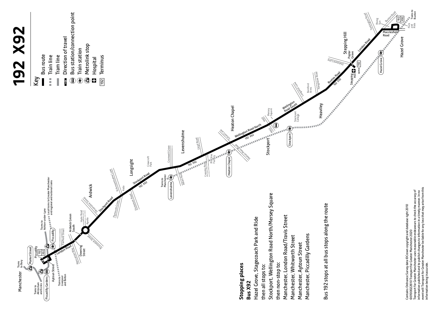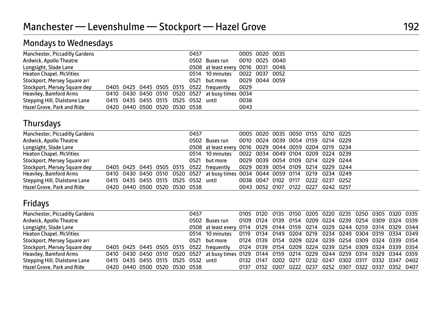# Mondays to Wednesdays

| Manchester, Piccadilly Gardens |                                     |  | 0457 |                                                  |      | 0005 0020 0035 |
|--------------------------------|-------------------------------------|--|------|--------------------------------------------------|------|----------------|
|                                |                                     |  |      |                                                  |      |                |
| Ardwick, Apollo Theatre        |                                     |  |      | 0502 Buses run                                   |      | 0010 0025 0040 |
| Longsight, Slade Lane          |                                     |  |      | 0508 at least every 0016 0031 0046               |      |                |
| Heaton Chapel, McVities        |                                     |  |      | 0514 10 minutes                                  |      | 0022 0037 0052 |
| Stockport, Mersey Square arr   |                                     |  |      | 0521 but more                                    |      | 0029 0044 0059 |
| Stockport, Mersey Square dep   |                                     |  |      | 0405 0425 0445 0505 0515 0522 frequently         | 0029 |                |
| Heaviley, Bamford Arms         |                                     |  |      | 0410 0430 0450 0510 0520 0527 at busy times 0034 |      |                |
| Stepping Hill, Dialstone Lane  | 0415 0435 0455 0515 0525 0532 until |  |      |                                                  | 0038 |                |
| Hazel Grove, Park and Ride     | 0420 0440 0500 0520 0530 0538       |  |      |                                                  | 0043 |                |

#### Thursdays

| Manchester, Piccadilly Gardens |                               |  |  | 0457 |                                                                                |  |  | 0005 0020 0035 0050 0155 0210 0225 |  |
|--------------------------------|-------------------------------|--|--|------|--------------------------------------------------------------------------------|--|--|------------------------------------|--|
| Ardwick, Apollo Theatre        |                               |  |  |      | 0502 Buses run                                                                 |  |  | 0010 0024 0039 0054 0159 0214 0229 |  |
| Longsight, Slade Lane          |                               |  |  |      | 0508 at least every 0016 0029 0044 0059 0204 0219 0234                         |  |  |                                    |  |
| <b>Heaton Chapel, McVities</b> |                               |  |  |      | 0514 10 minutes 0022 0034 0049 0104 0209 0224 0239                             |  |  |                                    |  |
| Stockport, Mersey Square arr   |                               |  |  |      | 0521 but more 0029 0039 0054 0109 0214 0229 0244                               |  |  |                                    |  |
| Stockport, Mersey Square dep   |                               |  |  |      | 0405 0425 0445 0505 0515 0522 frequently 0029 0039 0054 0109 0214 0229 0244    |  |  |                                    |  |
| Heaviley, Bamford Arms         |                               |  |  |      | 0410 0430 0450 0510 0520 0527 at busy times 0034 0044 0059 0114 0219 0234 0249 |  |  |                                    |  |
| Stepping Hill, Dialstone Lane  |                               |  |  |      | 0415 0435 0455 0515 0525 0532 until 0038 0047 0102 0117 0222 0237 0252         |  |  |                                    |  |
| Hazel Grove, Park and Ride     | 0420 0440 0500 0520 0530 0538 |  |  |      |                                                                                |  |  | 0043 0052 0107 0122 0227 0242 0257 |  |

# Fridays

| Manchester, Piccadilly Gardens |  |                               |  | 0457 |                                                                                                    |      |                     |  | 0105 0120 0135 0150 0205 0220 0235 0250 0305 0320 0335 |      |      |                |  |
|--------------------------------|--|-------------------------------|--|------|----------------------------------------------------------------------------------------------------|------|---------------------|--|--------------------------------------------------------|------|------|----------------|--|
| Ardwick, Apollo Theatre        |  |                               |  |      | 0502 Buses run                                                                                     |      |                     |  | 0109 0124 0139 0154 0209 0224 0239 0254 0309 0324 0339 |      |      |                |  |
| Longsight, Slade Lane          |  |                               |  |      | 0508 at least every 0114 0129 0144 0159 0214 0229 0244 0259 0314 0329 0344                         |      |                     |  |                                                        |      |      |                |  |
| <b>Heaton Chapel, McVities</b> |  |                               |  |      | 0514 10 minutes                                                                                    |      |                     |  | 0119 0134 0149 0204 0219 0234 0249 0304 0319 0334 0349 |      |      |                |  |
| Stockport, Mersey Square arr   |  |                               |  | 0521 | but more                                                                                           |      |                     |  | 0124 0139 0154 0209 0224 0239 0254 0309 0324 0339 0354 |      |      |                |  |
| Stockport, Mersey Square dep   |  | 0405 0425 0445 0505 0515      |  |      | 0522 freauently                                                                                    |      |                     |  | 0124 0139 0154 0209 0224 0239 0254 0309 0324 0339 0354 |      |      |                |  |
| Heaviley, Bamford Arms         |  |                               |  |      | 0410 0430 0450 0510 0520 0527 at busy times 0129 0144 0159 0214 0229 0244 0259 0314 0329 0344 0359 |      |                     |  |                                                        |      |      |                |  |
| Stepping Hill, Dialstone Lane  |  | 0415 0435 0455 0515 0525 0532 |  |      | until                                                                                              |      |                     |  | 0132 0147 0202 0217 0232 0247 0302 0317                |      |      | 0332 0347 0402 |  |
| Hazel Grove, Park and Ride     |  | 0420 0440 0500 0520 0530 0538 |  |      |                                                                                                    | 0137 | 0152 0207 0222 0237 |  | 0252 0307                                              | 0322 | 0337 | 0352 0407      |  |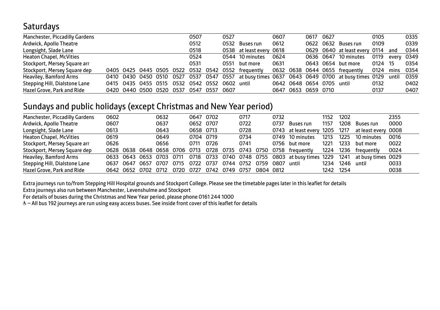### **Saturdays**

|  |  |                                            | 0507 |      | 0527 |                                                                   | 0607                                                                                                                 |                          | 0617 |                        | 0105                                                                                                                        |                              | 0335                                                                                                                             |
|--|--|--------------------------------------------|------|------|------|-------------------------------------------------------------------|----------------------------------------------------------------------------------------------------------------------|--------------------------|------|------------------------|-----------------------------------------------------------------------------------------------------------------------------|------------------------------|----------------------------------------------------------------------------------------------------------------------------------|
|  |  |                                            | 0512 |      |      |                                                                   | 0612                                                                                                                 |                          | 0622 |                        |                                                                                                                             |                              | 0339                                                                                                                             |
|  |  |                                            | 0518 |      |      |                                                                   |                                                                                                                      |                          |      |                        |                                                                                                                             |                              | 0344                                                                                                                             |
|  |  |                                            | 0524 |      |      |                                                                   | 0624                                                                                                                 |                          |      |                        |                                                                                                                             |                              |                                                                                                                                  |
|  |  |                                            | 0531 |      | 0551 |                                                                   | 0631                                                                                                                 |                          |      |                        |                                                                                                                             |                              | 0354                                                                                                                             |
|  |  |                                            |      |      |      |                                                                   |                                                                                                                      |                          |      |                        |                                                                                                                             |                              | 0354                                                                                                                             |
|  |  |                                            |      |      |      |                                                                   |                                                                                                                      |                          |      |                        |                                                                                                                             |                              | 0359                                                                                                                             |
|  |  |                                            |      |      |      |                                                                   |                                                                                                                      |                          |      |                        |                                                                                                                             |                              | 0402                                                                                                                             |
|  |  |                                            | 0547 | 0557 |      |                                                                   | 0647                                                                                                                 |                          |      |                        | 0137                                                                                                                        |                              | 0407                                                                                                                             |
|  |  | 0415 0435 0455 0515<br>0420 0440 0500 0520 | 0537 |      |      | 0410 0430 0450 0510 0527 0537 0547 0557<br>0532 0542 0552<br>0607 | 0532<br>Buses run<br>0544 10 minutes<br>but more<br>0405 0425 0445 0505 0522 0532 0542 0552 frequently<br>0602 until | 0538 at least every 0618 |      | 0627<br>0653 0659 0710 | 0632 Buses run<br>0636 0647 10 minutes<br>0643 0654 but more<br>0632 0638 0644 0655 frequently<br>0642 0648 0654 0705 until | 0109<br>0119<br>0124<br>0132 | 0629 0640 at least every 0114 and<br>every 0349<br>0124 15<br>mins<br>at busy times 0637 0643 0649 0700 at busy times 0129 until |

#### Sundays and public holidays (except Christmas and New Year period)

| Manchester, Piccadilly Gardens | 0602 |           |                | 0632 |       | 0647      | 0702 |      | 0717      |           | 0732 |                  | 1152 | 1202 |                     | 2355 |
|--------------------------------|------|-----------|----------------|------|-------|-----------|------|------|-----------|-----------|------|------------------|------|------|---------------------|------|
| Ardwick, Apollo Theatre        | 0607 |           |                | 0637 |       | 0652 0707 |      |      | 0722      |           | 0737 | <b>Buses run</b> | 1157 | 1208 | Buses run           | 0000 |
| Longsight, Slade Lane          | 0613 |           |                | 0643 |       | 0658 0713 |      |      | 0728      |           | 0743 | at least every   | 1205 | 1217 | at least every 0008 |      |
| <b>Heaton Chapel, McVities</b> | 0619 |           |                | 0649 |       | 0704 0719 |      |      | 0734      |           | 0749 | 10 minutes       | 1213 | 1225 | 10 minutes          | 0016 |
| Stockport, Mersey Square arr   | 0626 |           |                | 0656 |       | 0711      | 0726 |      | 0741      |           | 0756 | but more         | 1221 | 1233 | but more            | 0022 |
| Stockport, Mersey Square dep   | 0628 |           | 0638 0648 0658 |      | 0706  | 0713      | 0728 | 0735 | 0743      | 0750      | 0758 | frequently       | 1224 | 1236 | frequently          | 0024 |
| Heaviley, Bamford Arms         | 0633 |           | 0643 0653 0703 |      | 0711  | 0718      | 0733 | 0740 | 0748 0755 |           | 0803 | at busy times    | 1229 | 1241 | at busy times 0029  |      |
| Stepping Hill, Dialstone Lane  | 0637 | 0647      | 0657           | 0707 | 0715  | 0722      | 0737 | 0744 | 0752      | 0759      | 0807 | until            | 1234 | 1246 | until               | 0033 |
| Hazel Grove, Park and Ride     |      | 0642 0652 | 0702           | 0712 | 0720. | 0727      | 0742 | 0749 | 0757      | 0804 0812 |      |                  | 1242 | 1254 |                     | 0038 |

Extra journeys run to/from Stepping Hill Hospital grounds and Stockport College. Please see the timetable pages later in this leaflet for details

Extra journeys also run between Manchester, Levenshulme and Stockport

For details of buses during the Christmas and New Year period, please phone 0161 244 1000

W– All bus 192 journeys are run using easy access buses. See inside front cover of this leaflet for details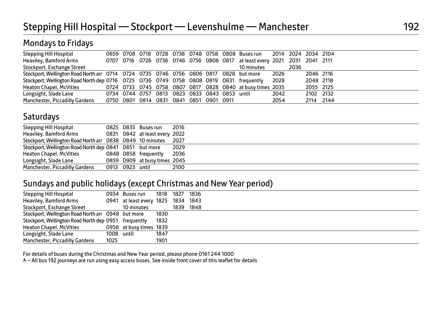### Mondays to Fridays

|  |  |  |  | 10 minutes                              |                                                                                                                                                                                                                                   | 2036                                                                       |           |                                                                                                                                                     |
|--|--|--|--|-----------------------------------------|-----------------------------------------------------------------------------------------------------------------------------------------------------------------------------------------------------------------------------------|----------------------------------------------------------------------------|-----------|-----------------------------------------------------------------------------------------------------------------------------------------------------|
|  |  |  |  |                                         |                                                                                                                                                                                                                                   |                                                                            | 2046 2116 |                                                                                                                                                     |
|  |  |  |  |                                         |                                                                                                                                                                                                                                   |                                                                            | 2048 2118 |                                                                                                                                                     |
|  |  |  |  |                                         |                                                                                                                                                                                                                                   |                                                                            | 2055 2125 |                                                                                                                                                     |
|  |  |  |  |                                         | 2042                                                                                                                                                                                                                              |                                                                            | 2102 2132 |                                                                                                                                                     |
|  |  |  |  |                                         | 2054                                                                                                                                                                                                                              |                                                                            | 2114 2144 |                                                                                                                                                     |
|  |  |  |  | 0750 0801 0814 0831 0841 0851 0901 0911 | Stockport, Wellington Road North arr 0714 0724 0735 0746 0756 0806 0817 0828 but more<br>Stockport, Wellington Road North dep 0716 0725 0736 0749 0758 0808 0819 0831 frequently<br>0734 0744 0757 0813 0823 0833 0843 0853 until | 2026<br>2028<br>0724 0733 0745 0758 0807 0817 0828 0840 at busy times 2035 |           | 0659 0708 0718 0728 0738 0748 0758 0808 Buses run 2014 2024 2034 2104<br>0707 0716 0726 0736 0746 0756 0806 0817 at least every 2021 2031 2041 2111 |

### **Saturdays**

| <b>Stepping Hill Hospital</b>                             |                 | 0825 0835 Buses run           | 2016 |  |
|-----------------------------------------------------------|-----------------|-------------------------------|------|--|
| Heaviley, Bamford Arms                                    |                 | 0831 0842 at least every 2022 |      |  |
| Stockport, Wellington Road North arr 0838 0849 10 minutes |                 |                               | 2027 |  |
| Stockport, Wellington Road North dep 0841 0851 but more   |                 |                               | 2029 |  |
| <b>Heaton Chapel, McVities</b>                            |                 | 0848 0858 frequently          | 2036 |  |
| Longsight, Slade Lane                                     |                 | 0859 0909 at busy times 2045  |      |  |
| Manchester, Piccadilly Gardens                            | 0913 0923 until |                               | 2100 |  |

#### Sundays and public holidays (except Christmas and New Year period)

| Stepping Hill Hospital                               |            | 0934 Buses run                     |      | 1818 1827 1836 |  |
|------------------------------------------------------|------------|------------------------------------|------|----------------|--|
| Heaviley, Bamford Arms                               |            | 0941 at least every 1825 1834 1843 |      |                |  |
| Stockport, Exchange Street                           |            | 10 minutes                         |      | 1839 1848      |  |
| Stockport, Wellington Road North arr 0948 but more   |            |                                    | 1830 |                |  |
| Stockport, Wellington Road North dep 0951 frequently |            |                                    | 1832 |                |  |
| <b>Heaton Chapel, McVities</b>                       |            | 0958 at busy times 1839            |      |                |  |
| Longsight, Slade Lane                                | 1008 until |                                    | 1847 |                |  |
| Manchester, Piccadilly Gardens                       | 1025       |                                    | 1901 |                |  |

For details of buses during the Christmas and New Year period, please phone 0161 244 1000

& - All bus 192 journeys are run using easy access buses. See inside front cover of this leaflet for details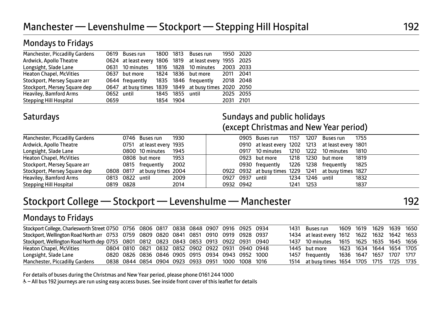| Manchester, Piccadilly Gardens |            | 0619 Buses run                                         |                 | 1800 1813 Buses run  | 1950 2020 |  |  |
|--------------------------------|------------|--------------------------------------------------------|-----------------|----------------------|-----------|--|--|
| Ardwick, Apollo Theatre        |            | 0624 at least every 1806 1819 at least every 1955 2025 |                 |                      |           |  |  |
| Longsight, Slade Lane          |            | 0631 10 minutes 1816 1828 10 minutes 2003 2033         |                 |                      |           |  |  |
| Heaton Chapel, McVities        |            | 0637 but more 1824 1836 but more                       |                 |                      | 2011 2041 |  |  |
| Stockport, Mersey Square arr   |            | 0644 frequently                                        |                 | 1835 1846 frequently | 2018 2048 |  |  |
| Stockport, Mersey Square dep   |            | 0647 at busy times 1839 1849 at busy times 2020 2050   |                 |                      |           |  |  |
| Heaviley, Bamford Arms         | 0652 until |                                                        | 1845 1855 until |                      | 2025 2055 |  |  |
| <b>Stepping Hill Hospital</b>  | 0659       |                                                        | 1854 1904       |                      | 2031 2101 |  |  |

Mondays to Fridays

### Saturdays **Saturdays** Sundays and public holidays (except Christmas and New Year period)

| Manchester, Piccadilly Gardens |                 | 0746 Buses run               | 1930 |                 | 0905 Buses run                                       |           | 1157 1207       | Buses run            | 1755 |
|--------------------------------|-----------------|------------------------------|------|-----------------|------------------------------------------------------|-----------|-----------------|----------------------|------|
| Ardwick, Apollo Theatre        |                 | 0751 at least every 1935     |      |                 | 0910 at least every 1202 1213 at least every 1801    |           |                 |                      |      |
| Longsight, Slade Lane          |                 | 0800 10 minutes              | 1945 |                 | 0917 10 minutes                                      | 1210      |                 | 1222 10 minutes      | 1810 |
| <b>Heaton Chapel, McVities</b> |                 | 0808 but more                | 1953 |                 | 0923 but more                                        |           |                 | 1218 1230 but more   | 1819 |
| Stockport, Mersey Square arr   |                 | 0815 frequently              | 2002 |                 | 0930 frequently                                      |           |                 | 1226 1238 frequently | 1825 |
| Stockport, Mersey Square dep   |                 | 0808 0817 at busy times 2004 |      |                 | 0922 0932 at busy times 1229 1241 at busy times 1827 |           |                 |                      |      |
| Heaviley, Bamford Arms         | 0813 0822 until |                              | 2009 | 0927 0937 until |                                                      |           | 1234 1246 until |                      | 1832 |
| <b>Stepping Hill Hospital</b>  | 0819 0828       |                              | 2014 | 0932 0942       |                                                      | 1241 1253 |                 |                      | 1837 |

# Stockport College — Stockport — Levenshulme — Manchester 192

# Mondays to Fridays

| Stockport College, Charlesworth Street 0750 0756 0806 0817 0838 0848 0907 0916 0925 0934 |  |  |  |  |                                                   |                                                   | 1431 Buses run 1609 1619 1629 1639 1650      |  |  |  |
|------------------------------------------------------------------------------------------|--|--|--|--|---------------------------------------------------|---------------------------------------------------|----------------------------------------------|--|--|--|
| Stockport, Wellington Road North arr 0753 0759 0809 0820 0841 0851 0910 0919 0928 0937   |  |  |  |  |                                                   |                                                   | 1434 at least every 1612 1622 1632 1642 1653 |  |  |  |
| Stockport, Wellington Road North dep 0755 0801 0812 0823 0843 0853 0913 0922 0931 0940   |  |  |  |  |                                                   |                                                   | 1437 10 minutes 1615 1625 1635 1645 1656     |  |  |  |
| Heaton Chapel, McVities                                                                  |  |  |  |  |                                                   | 0804 0810 0821 0832 0852 0902 0922 0931 0940 0948 | 1445 but more 1623 1634 1644 1654 1705       |  |  |  |
| Longsight, Slade Lane                                                                    |  |  |  |  | 0820 0826 0836 0846 0905 0915 0934 0943 0952 1000 |                                                   | 1457 frequently 1636 1647 1657 1707 1717     |  |  |  |
| Manchester, Piccadilly Gardens                                                           |  |  |  |  | 0838 0844 0854 0904 0923 0933 0951 1000 1008 1016 |                                                   | 1514 at busy times 1654 1705 1715 1725 1735  |  |  |  |

For details of buses during the Christmas and New Year period, please phone 0161 244 1000

W– All bus 192 journeys are run using easy access buses. See inside front cover of this leaflet for details